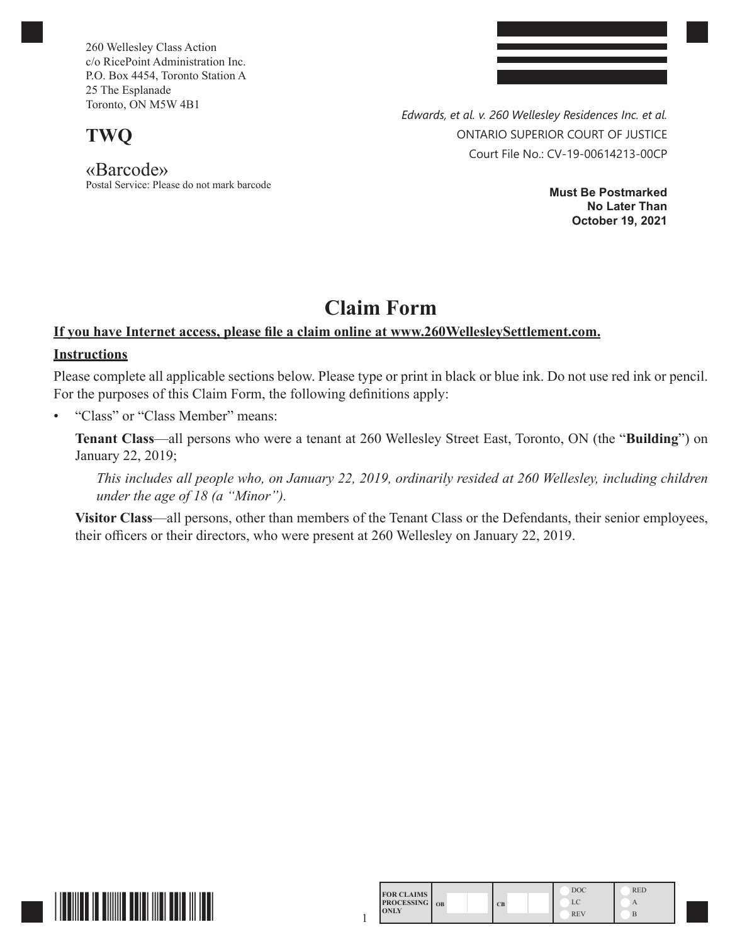260 Wellesley Class Action c/o RicePoint Administration Inc. P.O. Box 4454, Toronto Station A 25 The Esplanade Toronto, ON M5W 4B1

**TWQ**

«Barcode» Postal Service: Please do not mark barcode *Edwards, et al. v. 260 Wellesley Residences Inc. et al.* ONTARIO SUPERIOR COURT OF JUSTICE Court File No.: CV-19-00614213-00CP

> **Must Be Postmarked No Later Than October 19, 2021**

# **Claim Form**

# **If you have Internet access, please file a claim online at www.260WellesleySettlement.com.**

## **Instructions**

Please complete all applicable sections below. Please type or print in black or blue ink. Do not use red ink or pencil. For the purposes of this Claim Form, the following definitions apply:

• "Class" or "Class Member" means:

**Tenant Class**—all persons who were a tenant at 260 Wellesley Street East, Toronto, ON (the "**Building**") on January 22, 2019;

*This includes all people who, on January 22, 2019, ordinarily resided at 260 Wellesley, including children under the age of 18 (a "Minor").*

**Visitor Class**—all persons, other than members of the Tenant Class or the Defendants, their senior employees, their officers or their directors, who were present at 260 Wellesley on January 22, 2019.

1



| <b>FOR CLAIMS</b>    |    | <b>DOC</b> | <b>RED</b> |
|----------------------|----|------------|------------|
| <b>PROCESSING</b> OB | CB | LC         | А          |
| <b>TONLY</b>         |    | <b>REV</b> |            |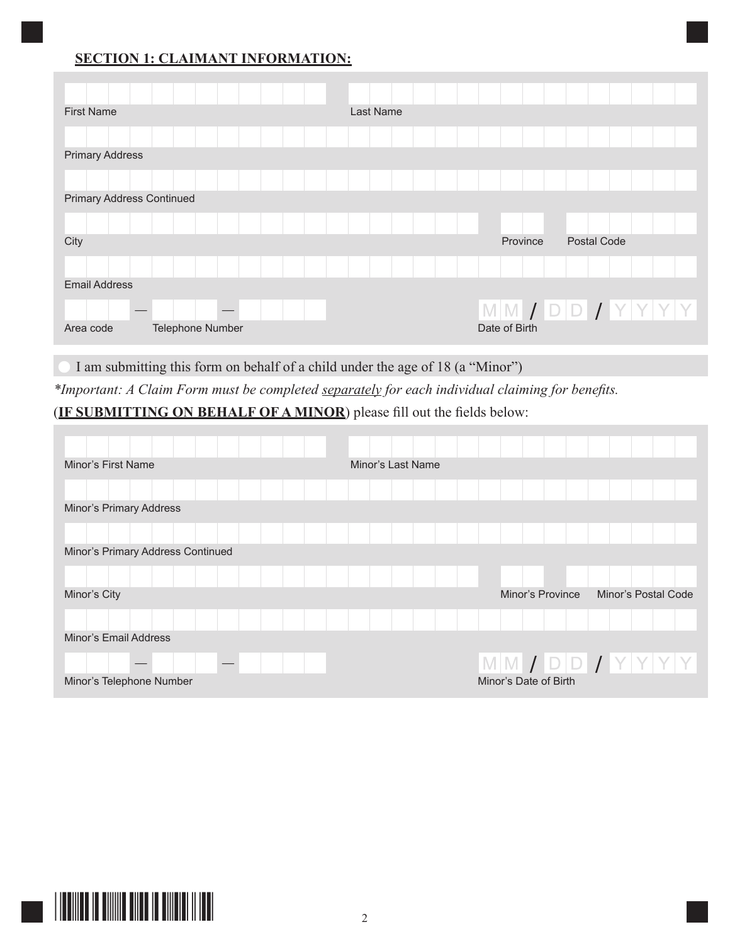# **SECTION 1: CLAIMANT INFORMATION:**

| <b>First Name</b>                |                  |  | <b>Last Name</b> |  |               |                    |                                     |
|----------------------------------|------------------|--|------------------|--|---------------|--------------------|-------------------------------------|
|                                  |                  |  |                  |  |               |                    |                                     |
| <b>Primary Address</b>           |                  |  |                  |  |               |                    |                                     |
|                                  |                  |  |                  |  |               |                    |                                     |
| <b>Primary Address Continued</b> |                  |  |                  |  |               |                    |                                     |
|                                  |                  |  |                  |  |               |                    |                                     |
| City                             |                  |  |                  |  | Province      | <b>Postal Code</b> |                                     |
|                                  |                  |  |                  |  |               |                    |                                     |
| <b>Email Address</b>             |                  |  |                  |  |               |                    |                                     |
|                                  |                  |  |                  |  |               |                    | $M$ $M$ $I$ $D$ $D$ $I$ $Y$ $Y$ $Y$ |
| Area code                        | Telephone Number |  |                  |  | Date of Birth |                    |                                     |

I am submitting this form on behalf of a child under the age of 18 (a "Minor")

*\*Important: A Claim Form must be completed separately for each individual claiming for benefits.*

# (**IF SUBMITTING ON BEHALF OF A MINOR**) please fill out the fields below:

| Minor's First Name                | Minor's Last Name |                                     |                     |
|-----------------------------------|-------------------|-------------------------------------|---------------------|
|                                   |                   |                                     |                     |
| Minor's Primary Address           |                   |                                     |                     |
|                                   |                   |                                     |                     |
| Minor's Primary Address Continued |                   |                                     |                     |
|                                   |                   |                                     |                     |
| Minor's City                      |                   | Minor's Province                    | Minor's Postal Code |
|                                   |                   |                                     |                     |
| Minor's Email Address             |                   |                                     |                     |
|                                   |                   | $M$ $M$ $J$ $D$ $D$ $J$ $Y$ $Y$ $Y$ |                     |
| Minor's Telephone Number          |                   | Minor's Date of Birth               |                     |

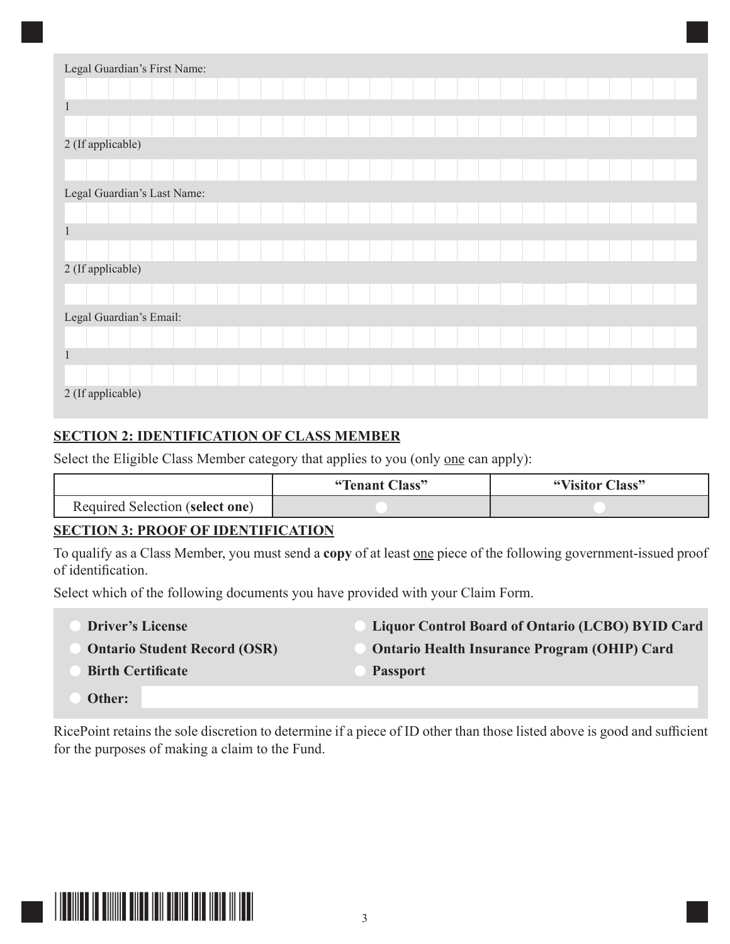| Legal Guardian's First Name: |  |  |  |  |  |  |  |  |  |  |
|------------------------------|--|--|--|--|--|--|--|--|--|--|
|                              |  |  |  |  |  |  |  |  |  |  |
| $\mathbf{1}$                 |  |  |  |  |  |  |  |  |  |  |
|                              |  |  |  |  |  |  |  |  |  |  |
| 2 (If applicable)            |  |  |  |  |  |  |  |  |  |  |
|                              |  |  |  |  |  |  |  |  |  |  |
| Legal Guardian's Last Name:  |  |  |  |  |  |  |  |  |  |  |
|                              |  |  |  |  |  |  |  |  |  |  |
| $\,1\,$                      |  |  |  |  |  |  |  |  |  |  |
|                              |  |  |  |  |  |  |  |  |  |  |
| 2 (If applicable)            |  |  |  |  |  |  |  |  |  |  |
|                              |  |  |  |  |  |  |  |  |  |  |
| Legal Guardian's Email:      |  |  |  |  |  |  |  |  |  |  |
|                              |  |  |  |  |  |  |  |  |  |  |
| $\,1\,$                      |  |  |  |  |  |  |  |  |  |  |
|                              |  |  |  |  |  |  |  |  |  |  |
| 2 (If applicable)            |  |  |  |  |  |  |  |  |  |  |

# **SECTION 2: IDENTIFICATION OF CLASS MEMBER**

Select the Eligible Class Member category that applies to you (only one can apply):

|                                 | "Tenant Class" | "Visitor Class" |
|---------------------------------|----------------|-----------------|
| Required Selection (select one) |                |                 |

# **SECTION 3: PROOF OF IDENTIFICATION**

To qualify as a Class Member, you must send a **copy** of at least one piece of the following government-issued proof of identification.

Select which of the following documents you have provided with your Claim Form.

- **Driver's License Liquor Control Board of Ontario (LCBO) BYID Card Ontario Student Record (OSR) Ontario Health Insurance Program (OHIP) Card Birth Certificate Passport** 
	- **Other:**

RicePoint retains the sole discretion to determine if a piece of ID other than those listed above is good and sufficient for the purposes of making a claim to the Fund.

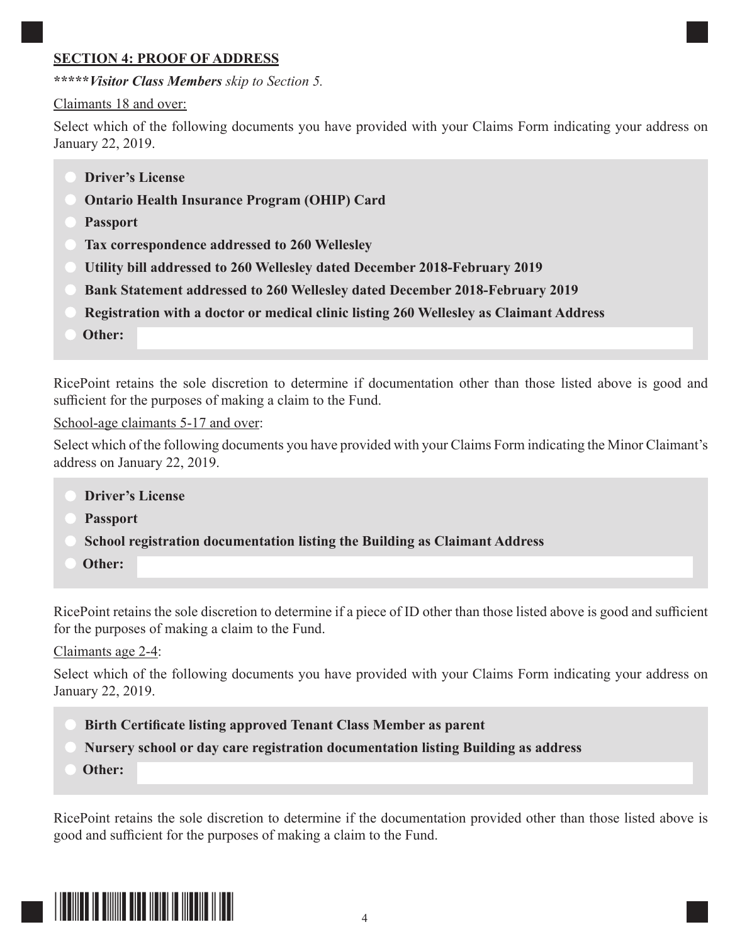### **SECTION 4: PROOF OF ADDRESS**

**\*\*\*\*\****Visitor Class Members skip to Section 5.*

#### Claimants 18 and over:

Select which of the following documents you have provided with your Claims Form indicating your address on January 22, 2019.

- **Driver's License**
- **Ontario Health Insurance Program (OHIP) Card**
- **Passport**
- **Tax correspondence addressed to 260 Wellesley**
- **Utility bill addressed to 260 Wellesley dated December 2018-February 2019**
- **Bank Statement addressed to 260 Wellesley dated December 2018-February 2019**
- **Registration with a doctor or medical clinic listing 260 Wellesley as Claimant Address**
- **Other:**

RicePoint retains the sole discretion to determine if documentation other than those listed above is good and sufficient for the purposes of making a claim to the Fund.

School-age claimants 5-17 and over:

Select which of the following documents you have provided with your Claims Form indicating the Minor Claimant's address on January 22, 2019.

- **Driver's License**
- **Passport**
- **School registration documentation listing the Building as Claimant Address**
- **Other:**

RicePoint retains the sole discretion to determine if a piece of ID other than those listed above is good and sufficient for the purposes of making a claim to the Fund.

Claimants age 2-4:

Select which of the following documents you have provided with your Claims Form indicating your address on January 22, 2019.

- **Birth Certificate listing approved Tenant Class Member as parent**
- **Nursery school or day care registration documentation listing Building as address**
- **Other:**

RicePoint retains the sole discretion to determine if the documentation provided other than those listed above is good and sufficient for the purposes of making a claim to the Fund.

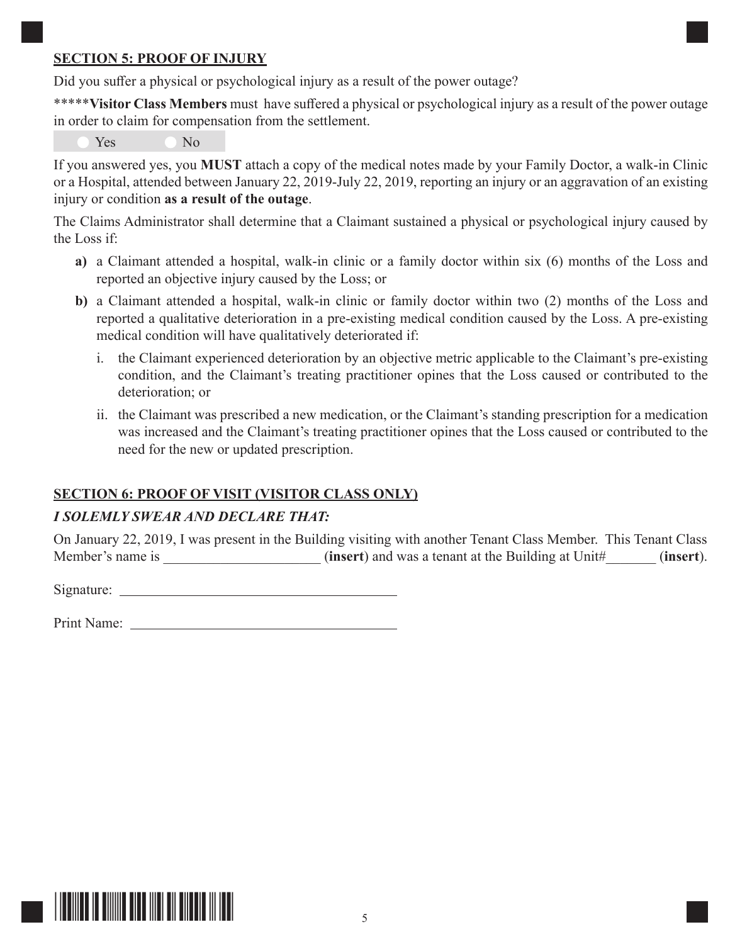#### **SECTION 5: PROOF OF INJURY**

Did you suffer a physical or psychological injury as a result of the power outage?

\*\*\*\*\***Visitor Class Members** must have suffered a physical or psychological injury as a result of the power outage in order to claim for compensation from the settlement.

Yes No

If you answered yes, you **MUST** attach a copy of the medical notes made by your Family Doctor, a walk-in Clinic or a Hospital, attended between January 22, 2019-July 22, 2019, reporting an injury or an aggravation of an existing injury or condition **as a result of the outage**.

The Claims Administrator shall determine that a Claimant sustained a physical or psychological injury caused by the Loss if:

- **a)** a Claimant attended a hospital, walk-in clinic or a family doctor within six (6) months of the Loss and reported an objective injury caused by the Loss; or
- **b)** a Claimant attended a hospital, walk-in clinic or family doctor within two (2) months of the Loss and reported a qualitative deterioration in a pre-existing medical condition caused by the Loss. A pre-existing medical condition will have qualitatively deteriorated if:
	- i. the Claimant experienced deterioration by an objective metric applicable to the Claimant's pre-existing condition, and the Claimant's treating practitioner opines that the Loss caused or contributed to the deterioration; or
	- ii. the Claimant was prescribed a new medication, or the Claimant's standing prescription for a medication was increased and the Claimant's treating practitioner opines that the Loss caused or contributed to the need for the new or updated prescription.

# **SECTION 6: PROOF OF VISIT (VISITOR CLASS ONLY)**

# *I SOLEMLY SWEAR AND DECLARE THAT:*

On January 22, 2019, I was present in the Building visiting with another Tenant Class Member. This Tenant Class Member's name is \_\_\_\_\_\_\_\_\_\_\_\_\_\_\_\_\_\_\_\_\_\_ (**insert**) and was a tenant at the Building at Unit#\_\_\_\_\_\_\_ (**insert**).

Signature:

Print Name: